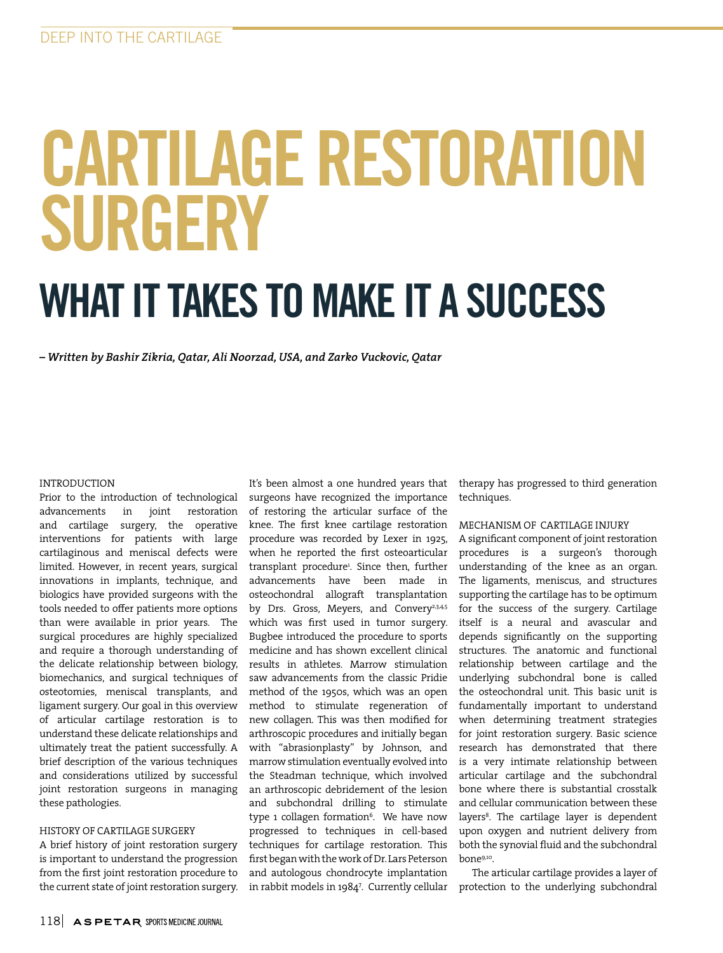# CARTILAGE RESTORATION SURGERY

# WHAT IT TAKES TO MAKE IT A SUCCESS

*– Written by Bashir Zikria, Qatar, Ali Noorzad, USA, and Zarko Vuckovic, Qatar*

#### INTRODUCTION

Prior to the introduction of technological advancements in joint restoration and cartilage surgery, the operative interventions for patients with large cartilaginous and meniscal defects were limited. However, in recent years, surgical innovations in implants, technique, and biologics have provided surgeons with the tools needed to offer patients more options than were available in prior years. The surgical procedures are highly specialized and require a thorough understanding of the delicate relationship between biology, biomechanics, and surgical techniques of osteotomies, meniscal transplants, and ligament surgery. Our goal in this overview of articular cartilage restoration is to understand these delicate relationships and ultimately treat the patient successfully. A brief description of the various techniques and considerations utilized by successful joint restoration surgeons in managing these pathologies.

#### HISTORY OF CARTILAGE SURGERY

A brief history of joint restoration surgery is important to understand the progression from the first joint restoration procedure to the current state of joint restoration surgery.

It's been almost a one hundred years that surgeons have recognized the importance of restoring the articular surface of the knee. The first knee cartilage restoration procedure was recorded by Lexer in 1925, when he reported the first osteoarticular transplant procedure1 . Since then, further advancements have been made in osteochondral allograft transplantation by Drs. Gross, Meyers, and Convery<sup>2,3,4,5</sup> which was first used in tumor surgery. Bugbee introduced the procedure to sports medicine and has shown excellent clinical results in athletes. Marrow stimulation saw advancements from the classic Pridie method of the 1950s, which was an open method to stimulate regeneration of new collagen. This was then modified for arthroscopic procedures and initially began with "abrasionplasty" by Johnson, and marrow stimulation eventually evolved into the Steadman technique, which involved an arthroscopic debridement of the lesion and subchondral drilling to stimulate type 1 collagen formation<sup>6</sup>. We have now progressed to techniques in cell-based techniques for cartilage restoration. This first began with the work of Dr. Lars Peterson and autologous chondrocyte implantation in rabbit models in 19847 . Currently cellular

therapy has progressed to third generation techniques.

# MECHANISM OF CARTILAGE INJURY

A significant component of joint restoration procedures is a surgeon's thorough understanding of the knee as an organ. The ligaments, meniscus, and structures supporting the cartilage has to be optimum for the success of the surgery. Cartilage itself is a neural and avascular and depends significantly on the supporting structures. The anatomic and functional relationship between cartilage and the underlying subchondral bone is called the osteochondral unit. This basic unit is fundamentally important to understand when determining treatment strategies for joint restoration surgery. Basic science research has demonstrated that there is a very intimate relationship between articular cartilage and the subchondral bone where there is substantial crosstalk and cellular communication between these layers<sup>8</sup>. The cartilage layer is dependent upon oxygen and nutrient delivery from both the synovial fluid and the subchondral bone9,10.

The articular cartilage provides a layer of protection to the underlying subchondral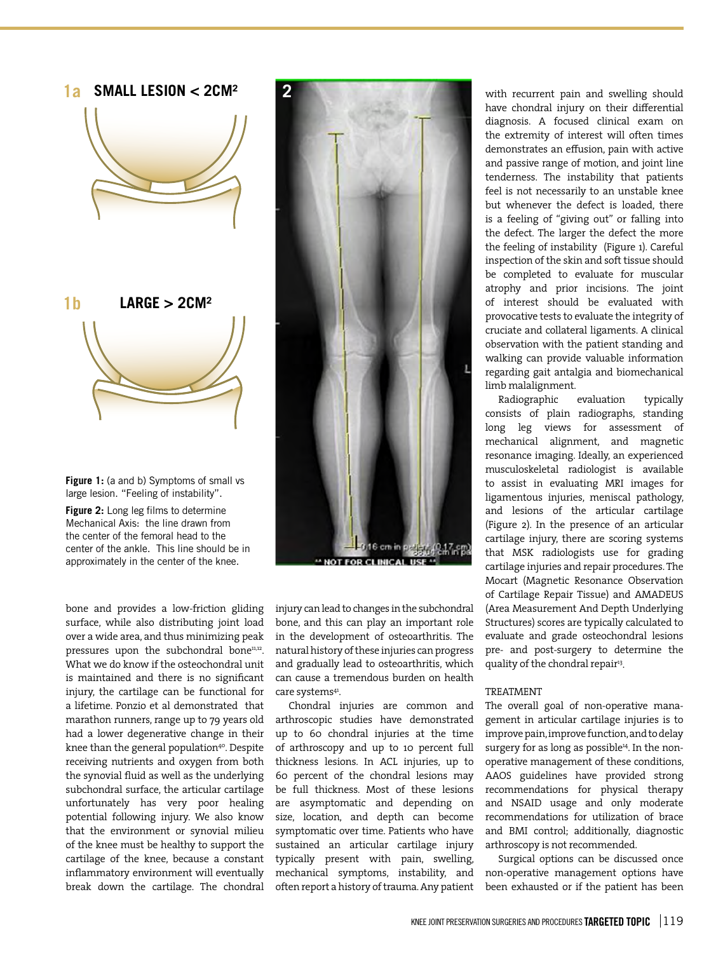

**Figure 1:** (a and b) Symptoms of small vs large lesion. "Feeling of instability".

**Figure 2:** Long leg films to determine Mechanical Axis: the line drawn from the center of the femoral head to the center of the ankle. This line should be in approximately in the center of the knee.

bone and provides a low-friction gliding surface, while also distributing joint load over a wide area, and thus minimizing peak pressures upon the subchondral bone<sup>11,12</sup>. What we do know if the osteochondral unit is maintained and there is no significant injury, the cartilage can be functional for a lifetime. Ponzio et al demonstrated that marathon runners, range up to 79 years old had a lower degenerative change in their knee than the general population<sup>40</sup>. Despite receiving nutrients and oxygen from both the synovial fluid as well as the underlying subchondral surface, the articular cartilage unfortunately has very poor healing potential following injury. We also know that the environment or synovial milieu of the knee must be healthy to support the cartilage of the knee, because a constant inflammatory environment will eventually break down the cartilage. The chondral



injury can lead to changes in the subchondral bone, and this can play an important role in the development of osteoarthritis. The natural history of these injuries can progress and gradually lead to osteoarthritis, which can cause a tremendous burden on health care systems<sup>41</sup>.

Chondral injuries are common and arthroscopic studies have demonstrated up to 60 chondral injuries at the time of arthroscopy and up to 10 percent full thickness lesions. In ACL injuries, up to 60 percent of the chondral lesions may be full thickness. Most of these lesions are asymptomatic and depending on size, location, and depth can become symptomatic over time. Patients who have sustained an articular cartilage injury typically present with pain, swelling, mechanical symptoms, instability, and often report a history of trauma. Any patient with recurrent pain and swelling should have chondral injury on their differential diagnosis. A focused clinical exam on the extremity of interest will often times demonstrates an effusion, pain with active and passive range of motion, and joint line tenderness. The instability that patients feel is not necessarily to an unstable knee but whenever the defect is loaded, there is a feeling of "giving out" or falling into the defect. The larger the defect the more the feeling of instability (Figure 1). Careful inspection of the skin and soft tissue should be completed to evaluate for muscular atrophy and prior incisions. The joint of interest should be evaluated with provocative tests to evaluate the integrity of cruciate and collateral ligaments. A clinical observation with the patient standing and walking can provide valuable information regarding gait antalgia and biomechanical limb malalignment.

Radiographic evaluation typically consists of plain radiographs, standing long leg views for assessment of mechanical alignment, and magnetic resonance imaging. Ideally, an experienced musculoskeletal radiologist is available to assist in evaluating MRI images for ligamentous injuries, meniscal pathology, and lesions of the articular cartilage (Figure 2). In the presence of an articular cartilage injury, there are scoring systems that MSK radiologists use for grading cartilage injuries and repair procedures. The Mocart (Magnetic Resonance Observation of Cartilage Repair Tissue) and AMADEUS (Area Measurement And Depth Underlying Structures) scores are typically calculated to evaluate and grade osteochondral lesions pre- and post-surgery to determine the quality of the chondral repair<sup>13</sup>.

#### TREATMENT

The overall goal of non-operative management in articular cartilage injuries is to improve pain, improve function, and to delay surgery for as long as possible<sup>14</sup>. In the nonoperative management of these conditions, AAOS guidelines have provided strong recommendations for physical therapy and NSAID usage and only moderate recommendations for utilization of brace and BMI control; additionally, diagnostic arthroscopy is not recommended.

Surgical options can be discussed once non-operative management options have been exhausted or if the patient has been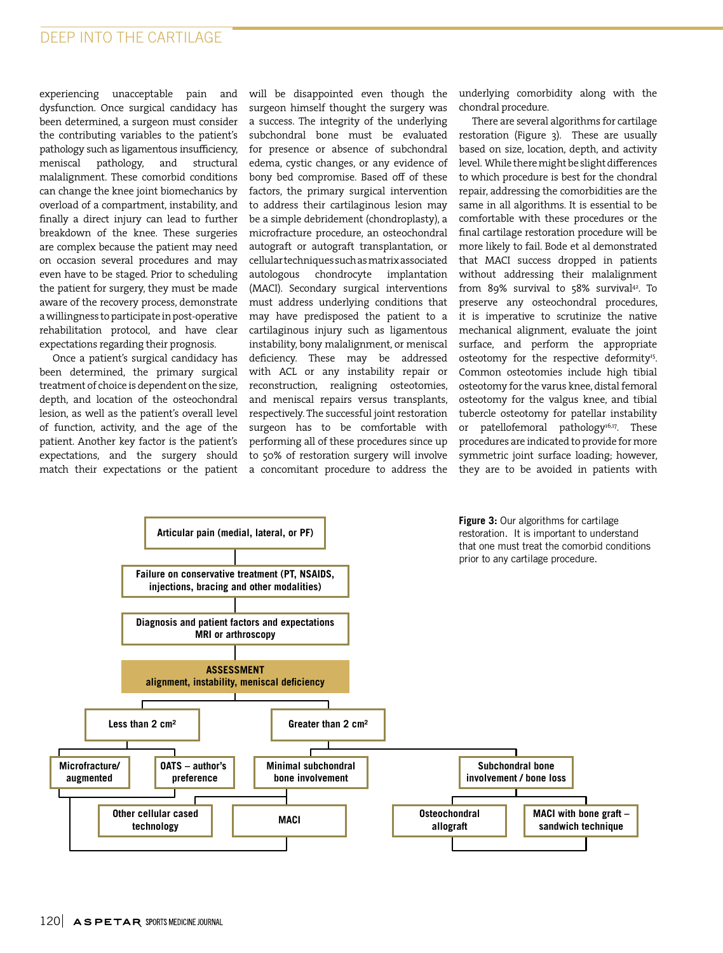# DEEP INTO THE CARTILAGE

experiencing unacceptable pain and dysfunction. Once surgical candidacy has been determined, a surgeon must consider the contributing variables to the patient's pathology such as ligamentous insufficiency, meniscal pathology, and structural malalignment. These comorbid conditions can change the knee joint biomechanics by overload of a compartment, instability, and finally a direct injury can lead to further breakdown of the knee. These surgeries are complex because the patient may need on occasion several procedures and may even have to be staged. Prior to scheduling the patient for surgery, they must be made aware of the recovery process, demonstrate a willingness to participate in post-operative rehabilitation protocol, and have clear expectations regarding their prognosis.

Once a patient's surgical candidacy has been determined, the primary surgical treatment of choice is dependent on the size, depth, and location of the osteochondral lesion, as well as the patient's overall level of function, activity, and the age of the patient. Another key factor is the patient's expectations, and the surgery should match their expectations or the patient

will be disappointed even though the surgeon himself thought the surgery was a success. The integrity of the underlying subchondral bone must be evaluated for presence or absence of subchondral edema, cystic changes, or any evidence of bony bed compromise. Based off of these factors, the primary surgical intervention to address their cartilaginous lesion may be a simple debridement (chondroplasty), a microfracture procedure, an osteochondral autograft or autograft transplantation, or cellular techniques such as matrix associated autologous chondrocyte implantation (MACI). Secondary surgical interventions must address underlying conditions that may have predisposed the patient to a cartilaginous injury such as ligamentous instability, bony malalignment, or meniscal deficiency. These may be addressed with ACL or any instability repair or reconstruction, realigning osteotomies, and meniscal repairs versus transplants, respectively. The successful joint restoration surgeon has to be comfortable with performing all of these procedures since up to 50% of restoration surgery will involve a concomitant procedure to address the

underlying comorbidity along with the chondral procedure.

There are several algorithms for cartilage restoration (Figure 3). These are usually based on size, location, depth, and activity level. While there might be slight differences to which procedure is best for the chondral repair, addressing the comorbidities are the same in all algorithms. It is essential to be comfortable with these procedures or the final cartilage restoration procedure will be more likely to fail. Bode et al demonstrated that MACI success dropped in patients without addressing their malalignment from 89% survival to 58% survival<sup>42</sup>. To preserve any osteochondral procedures, it is imperative to scrutinize the native mechanical alignment, evaluate the joint surface, and perform the appropriate osteotomy for the respective deformity<sup>15</sup>. Common osteotomies include high tibial osteotomy for the varus knee, distal femoral osteotomy for the valgus knee, and tibial tubercle osteotomy for patellar instability or patellofemoral pathology<sup>16,17</sup>. These procedures are indicated to provide for more symmetric joint surface loading; however, they are to be avoided in patients with

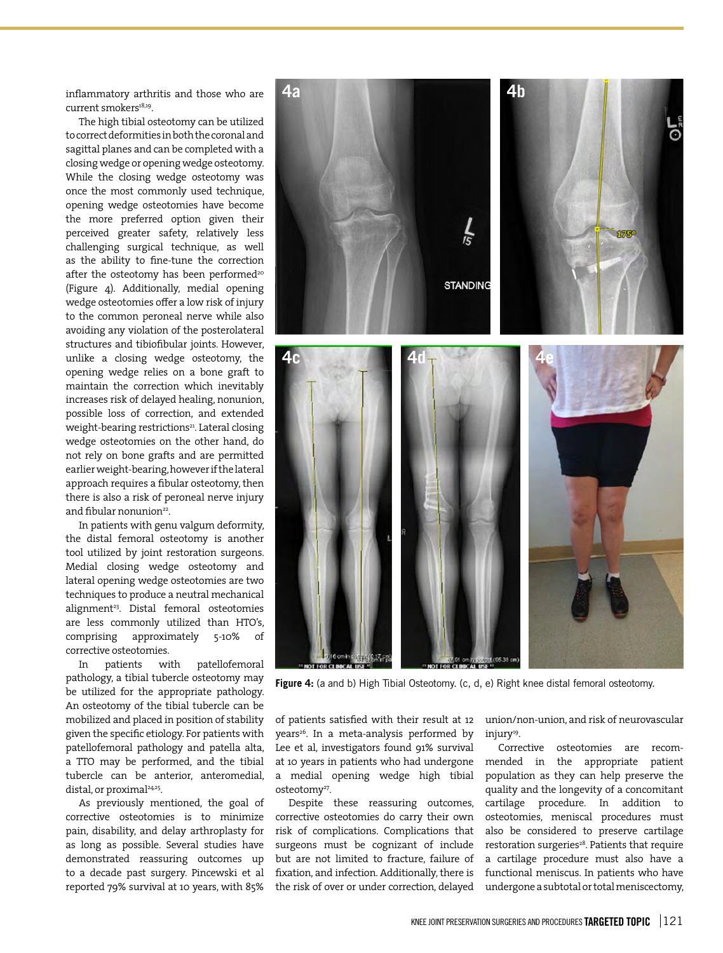inflammatory arthritis and those who are current smokers<sup>18,19</sup>.

The high tibial osteotomy can be utilized to correct deformities in both the coronal and sagittal planes and can be completed with a closing wedge or opening wedge osteotomy. While the closing wedge osteotomy was once the most commonly used technique, opening wedge osteotomies have become the more preferred option given their perceived greater safety, relatively less challenging surgical technique, as well as the ability to fine-tune the correction after the osteotomy has been performed<sup>20</sup> (Figure 4). Additionally, medial opening wedge osteotomies offer a low risk of injury to the common peroneal nerve while also avoiding any violation of the posterolateral structures and tibiofibular joints. However, unlike a closing wedge osteotomy, the opening wedge relies on a bone graft to maintain the correction which inevitably increases risk of delayed healing, nonunion, possible loss of correction, and extended weight-bearing restrictions<sup>21</sup>. Lateral closing wedge osteotomies on the other hand, do not rely on bone grafts and are permitted earlier weight-bearing, however if the lateral approach requires a fibular osteotomy, then there is also a risk of peroneal nerve injury and fibular nonunion<sup>22</sup>.

In patients with genu valgum deformity, the distal femoral osteotomy is another tool utilized by joint restoration surgeons. Medial closing wedge osteotomy and lateral opening wedge osteotomies are two techniques to produce a neutral mechanical alignment<sup>23</sup>. Distal femoral osteotomies are less commonly utilized than HTO's, comprising approximately 5-10% of corrective osteotomies.

In patients with patellofemoral pathology, a tibial tubercle osteotomy may be utilized for the appropriate pathology. An osteotomy of the tibial tubercle can be mobilized and placed in position of stability given the specific etiology. For patients with patellofemoral pathology and patella alta, a TTO may be performed, and the tibial tubercle can be anterior, anteromedial, distal, or proximal<sup>24,25</sup>.

As previously mentioned, the goal of corrective osteotomies is to minimize pain, disability, and delay arthroplasty for as long as possible. Several studies have demonstrated reassuring outcomes up to a decade past surgery. Pincewski et al reported 79% survival at 10 years, with 85%



Figure 4: (a and b) High Tibial Osteotomy. (c, d, e) Right knee distal femoral osteotomy.

of patients satisfied with their result at 12 years<sup>26</sup>. In a meta-analysis performed by Lee et al, investigators found 91% survival at 10 years in patients who had undergone a medial opening wedge high tibial osteotomy<sup>27</sup>.

Despite these reassuring outcomes, corrective osteotomies do carry their own risk of complications. Complications that surgeons must be cognizant of include but are not limited to fracture, failure of fixation, and infection. Additionally, there is the risk of over or under correction, delayed union/non-union, and risk of neurovascular injury<sup>19</sup>.

Corrective osteotomies are recommended in the appropriate patient population as they can help preserve the quality and the longevity of a concomitant cartilage procedure. In addition to osteotomies, meniscal procedures must also be considered to preserve cartilage restoration surgeries<sup>28</sup>. Patients that require a cartilage procedure must also have a functional meniscus. In patients who have undergone a subtotal or total meniscectomy,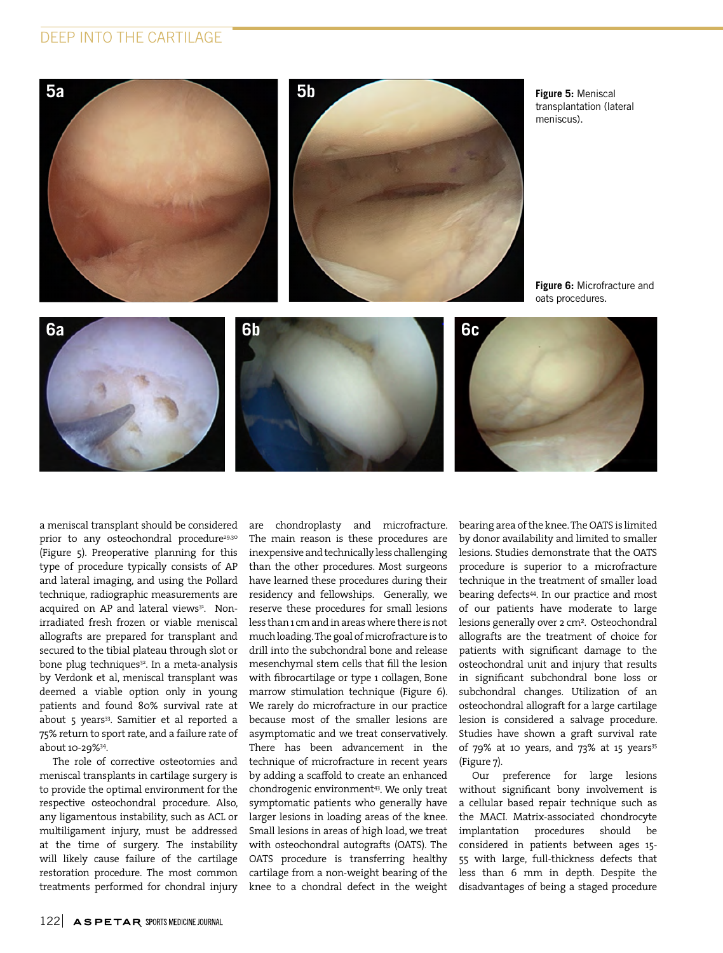# DEEP INTO THE CARTILAGE



**Figure 5:** Meniscal transplantation (lateral meniscus).

**Figure 6:** Microfracture and oats procedures.







a meniscal transplant should be considered prior to any osteochondral procedure<sup>29,30</sup> (Figure 5). Preoperative planning for this type of procedure typically consists of AP and lateral imaging, and using the Pollard technique, radiographic measurements are acquired on AP and lateral views<sup>31</sup>. Nonirradiated fresh frozen or viable meniscal allografts are prepared for transplant and secured to the tibial plateau through slot or bone plug techniques<sup>32</sup>. In a meta-analysis by Verdonk et al, meniscal transplant was deemed a viable option only in young patients and found 80% survival rate at about 5 years<sup>33</sup>. Samitier et al reported a 75% return to sport rate, and a failure rate of about 10-29%34.

The role of corrective osteotomies and meniscal transplants in cartilage surgery is to provide the optimal environment for the respective osteochondral procedure. Also, any ligamentous instability, such as ACL or multiligament injury, must be addressed at the time of surgery. The instability will likely cause failure of the cartilage restoration procedure. The most common treatments performed for chondral injury are chondroplasty and microfracture. The main reason is these procedures are inexpensive and technically less challenging than the other procedures. Most surgeons have learned these procedures during their residency and fellowships. Generally, we reserve these procedures for small lesions less than 1 cm and in areas where there is not much loading. The goal of microfracture is to drill into the subchondral bone and release mesenchymal stem cells that fill the lesion with fibrocartilage or type 1 collagen, Bone marrow stimulation technique (Figure 6). We rarely do microfracture in our practice because most of the smaller lesions are asymptomatic and we treat conservatively. There has been advancement in the technique of microfracture in recent years by adding a scaffold to create an enhanced chondrogenic environment<sup>43</sup>. We only treat symptomatic patients who generally have larger lesions in loading areas of the knee. Small lesions in areas of high load, we treat with osteochondral autografts (OATS). The OATS procedure is transferring healthy cartilage from a non-weight bearing of the knee to a chondral defect in the weight bearing area of the knee. The OATS is limited by donor availability and limited to smaller lesions. Studies demonstrate that the OATS procedure is superior to a microfracture technique in the treatment of smaller load bearing defects<sup>44</sup>. In our practice and most of our patients have moderate to large lesions generally over 2 cm². Osteochondral allografts are the treatment of choice for patients with significant damage to the osteochondral unit and injury that results in significant subchondral bone loss or subchondral changes. Utilization of an osteochondral allograft for a large cartilage lesion is considered a salvage procedure. Studies have shown a graft survival rate of  $79\%$  at 10 years, and  $73\%$  at 15 years<sup>35</sup> (Figure 7).

Our preference for large lesions without significant bony involvement is a cellular based repair technique such as the MACI. Matrix-associated chondrocyte implantation procedures should be considered in patients between ages 15- 55 with large, full-thickness defects that less than 6 mm in depth. Despite the disadvantages of being a staged procedure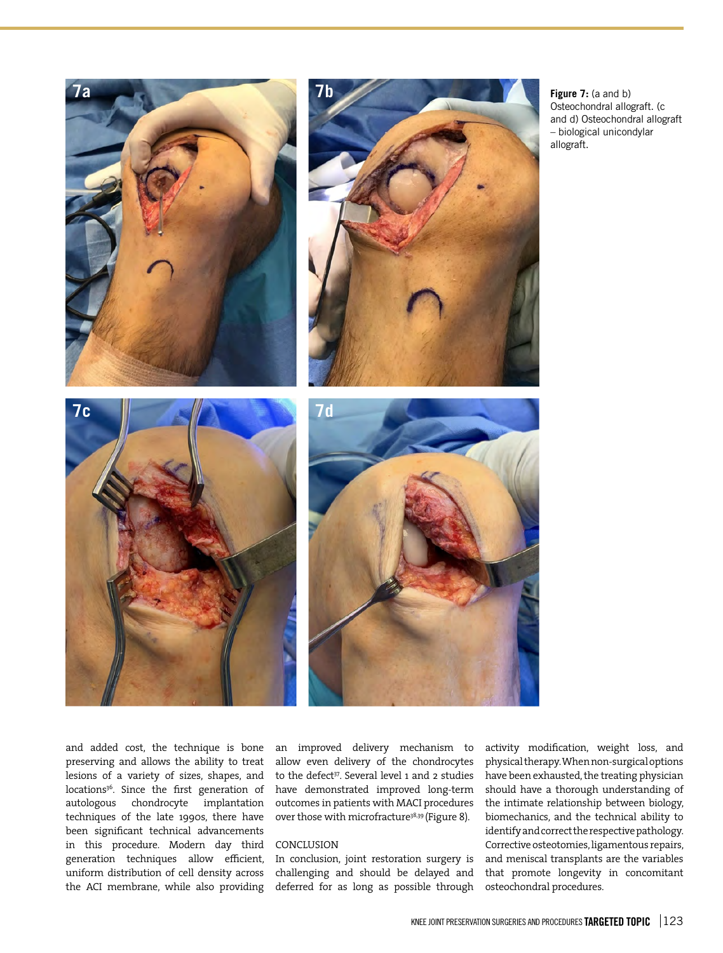

**Figure 7:** (a and b) Osteochondral allograft. (c and d) Osteochondral allograft – biological unicondylar

and added cost, the technique is bone preserving and allows the ability to treat lesions of a variety of sizes, shapes, and locations<sup>36</sup>. Since the first generation of autologous chondrocyte implantation techniques of the late 1990s, there have been significant technical advancements in this procedure. Modern day third generation techniques allow efficient, uniform distribution of cell density across the ACI membrane, while also providing

an improved delivery mechanism to allow even delivery of the chondrocytes to the defect<sup>37</sup>. Several level 1 and 2 studies have demonstrated improved long-term outcomes in patients with MACI procedures over those with microfracture<sup>38,39</sup> (Figure 8).

#### CONCLUSION

In conclusion, joint restoration surgery is challenging and should be delayed and deferred for as long as possible through activity modification, weight loss, and physical therapy. When non-surgical options have been exhausted, the treating physician should have a thorough understanding of the intimate relationship between biology, biomechanics, and the technical ability to identify and correct the respective pathology. Corrective osteotomies, ligamentous repairs, and meniscal transplants are the variables that promote longevity in concomitant osteochondral procedures.